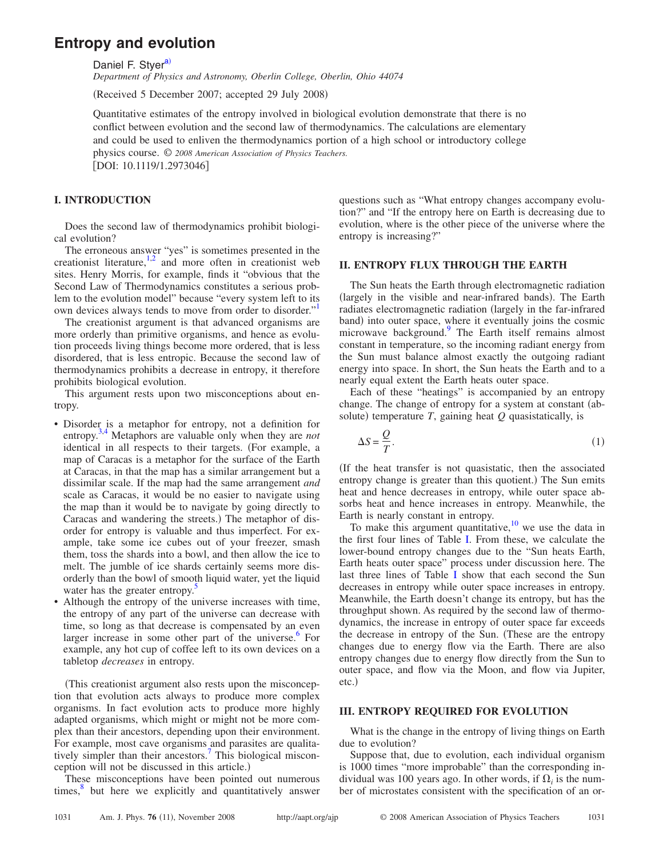# **Entropy and evolution**

Daniel F. Styer<sup>a)</sup>

*Department of Physics and Astronomy, Oberlin College, Oberlin, Ohio 44074*

(Received 5 December 2007; accepted 29 July 2008)

Quantitative estimates of the entropy involved in biological evolution demonstrate that there is no conflict between evolution and the second law of thermodynamics. The calculations are elementary and could be used to enliven the thermodynamics portion of a high school or introductory college physics course. © *2008 American Association of Physics Teachers.* [DOI: 10.1119/1.2973046]

## **I. INTRODUCTION**

Does the second law of thermodynamics prohibit biological evolution?

The erroneous answer "yes" is sometimes presented in the creationist literature, $1,2$  $1,2$  and more often in creationist web sites. Henry Morris, for example, finds it "obvious that the Second Law of Thermodynamics constitutes a serious problem to the evolution model" because "every system left to its own devices always tends to move from order to disorder.["1](#page-2-1)

The creationist argument is that advanced organisms are more orderly than primitive organisms, and hence as evolution proceeds living things become more ordered, that is less disordered, that is less entropic. Because the second law of thermodynamics prohibits a decrease in entropy, it therefore prohibits biological evolution.

This argument rests upon two misconceptions about entropy.

- Disorder is a metaphor for entropy, not a definition for entropy[.3](#page-2-3)[,4](#page-2-4) Metaphors are valuable only when they are *not* identical in all respects to their targets. (For example, a map of Caracas is a metaphor for the surface of the Earth at Caracas, in that the map has a similar arrangement but a dissimilar scale. If the map had the same arrangement *and* scale as Caracas, it would be no easier to navigate using the map than it would be to navigate by going directly to Caracas and wandering the streets.) The metaphor of disorder for entropy is valuable and thus imperfect. For example, take some ice cubes out of your freezer, smash them, toss the shards into a bowl, and then allow the ice to melt. The jumble of ice shards certainly seems more disorderly than the bowl of smooth liquid water, yet the liquid water has the greater entropy.<sup>3</sup>
- Although the entropy of the universe increases with time, the entropy of any part of the universe can decrease with time, so long as that decrease is compensated by an even larger increase in some other part of the universe. $6$  For example, any hot cup of coffee left to its own devices on a tabletop *decreases* in entropy.

This creationist argument also rests upon the misconception that evolution acts always to produce more complex organisms. In fact evolution acts to produce more highly adapted organisms, which might or might not be more complex than their ancestors, depending upon their environment. For example, most cave organisms and parasites are qualitatively simpler than their ancestors.<sup>7</sup> This biological misconception will not be discussed in this article.)

These misconceptions have been pointed out numerous times, $\delta$  but here we explicitly and quantitatively answer

questions such as "What entropy changes accompany evolution?" and "If the entropy here on Earth is decreasing due to evolution, where is the other piece of the universe where the entropy is increasing?"

#### **II. ENTROPY FLUX THROUGH THE EARTH**

The Sun heats the Earth through electromagnetic radiation (largely in the visible and near-infrared bands). The Earth radiates electromagnetic radiation (largely in the far-infrared band) into outer space, where it eventually joins the cosmic microwave background.<sup>9</sup> The Earth itself remains almost constant in temperature, so the incoming radiant energy from the Sun must balance almost exactly the outgoing radiant energy into space. In short, the Sun heats the Earth and to a nearly equal extent the Earth heats outer space.

Each of these "heatings" is accompanied by an entropy change. The change of entropy for a system at constant (absolute) temperature  $T$ , gaining heat  $Q$  quasistatically, is

$$
\Delta S = \frac{Q}{T}.\tag{1}
$$

If the heat transfer is not quasistatic, then the associated entropy change is greater than this quotient.) The Sun emits heat and hence decreases in entropy, while outer space absorbs heat and hence increases in entropy. Meanwhile, the Earth is nearly constant in entropy.

To make this argument quantitative,  $\frac{10}{10}$  we use the data in the first four lines of Table [I.](#page-1-0) From these, we calculate the lower-bound entropy changes due to the "Sun heats Earth, Earth heats outer space" process under discussion here. The last three lines of Table [I](#page-1-0) show that each second the Sun decreases in entropy while outer space increases in entropy. Meanwhile, the Earth doesn't change its entropy, but has the throughput shown. As required by the second law of thermodynamics, the increase in entropy of outer space far exceeds the decrease in entropy of the Sun. These are the entropy changes due to energy flow via the Earth. There are also entropy changes due to energy flow directly from the Sun to outer space, and flow via the Moon, and flow via Jupiter, etc.)

## **III. ENTROPY REQUIRED FOR EVOLUTION**

What is the change in the entropy of living things on Earth due to evolution?

Suppose that, due to evolution, each individual organism is 1000 times "more improbable" than the corresponding individual was 100 years ago. In other words, if  $\Omega_i$  is the number of microstates consistent with the specification of an or-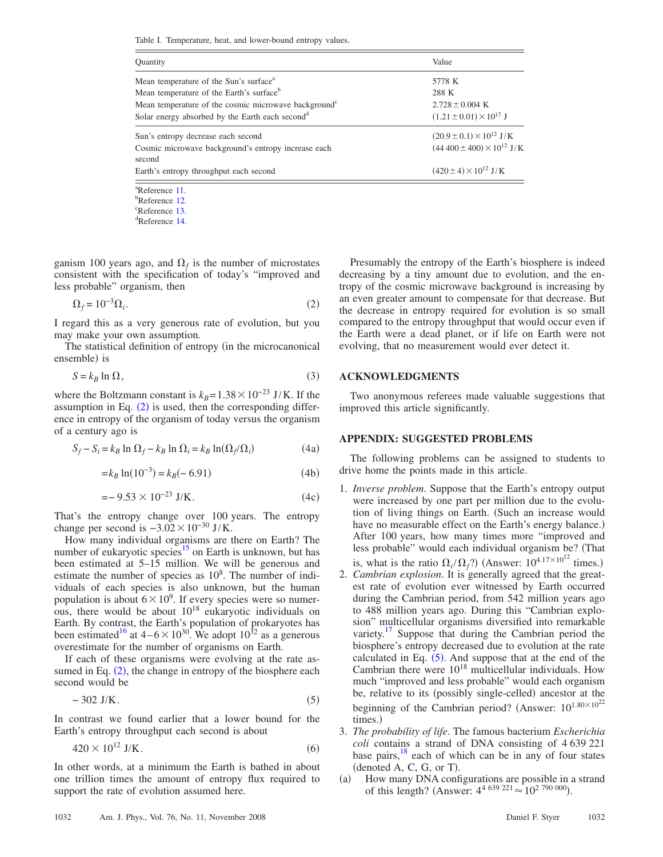<span id="page-1-0"></span>Table I. Temperature, heat, and lower-bound entropy values.

| <b>Quantity</b>                                                  | Value                                  |
|------------------------------------------------------------------|----------------------------------------|
| Mean temperature of the Sun's surface <sup>a</sup>               | 5778 K                                 |
| Mean temperature of the Earth's surface <sup>b</sup>             | 288 K                                  |
| Mean temperature of the cosmic microwave background <sup>c</sup> | $2.728 \pm 0.004$ K                    |
| Solar energy absorbed by the Earth each second <sup>d</sup>      | $(1.21 \pm 0.01) \times 10^{17}$ J     |
| Sun's entropy decrease each second                               | $(20.9 \pm 0.1) \times 10^{12}$ J/K    |
| Cosmic microwave background's entropy increase each<br>second    | $(44\,400 \pm 400) \times 10^{12}$ J/K |
| Earth's entropy throughput each second                           | $(420 \pm 4) \times 10^{12}$ J/K       |

 ${}^{a}$ Reference [11.](#page-2-15) <sup>b</sup>Reference [12.](#page-2-16)  ${}^{\rm c}$ Reference [13.](#page-2-17) Reference [14.](#page-2-18)

ganism 100 years ago, and  $\Omega_f$  is the number of microstates consistent with the specification of today's "improved and less probable" organism, then

$$
\Omega_f = 10^{-3} \Omega_i. \tag{2}
$$

<span id="page-1-1"></span>I regard this as a very generous rate of evolution, but you may make your own assumption.

The statistical definition of entropy (in the microcanonical ensemble) is

$$
S = k_B \ln \Omega,\tag{3}
$$

where the Boltzmann constant is  $k_B$ = 1.38 × 10<sup>-23</sup> J/K. If the assumption in Eq.  $(2)$  $(2)$  $(2)$  is used, then the corresponding difference in entropy of the organism of today versus the organism of a century ago is

$$
S_f - S_i = k_B \ln \Omega_f - k_B \ln \Omega_i = k_B \ln(\Omega_f/\Omega_i)
$$
 (4a)

$$
=k_B \ln(10^{-3}) = k_B(-6.91)
$$
 (4b)

$$
=-9.53 \times 10^{-23} \text{ J/K}.
$$
 (4c)

That's the entropy change over 100 years. The entropy change per second is  $-3.02 \times 10^{-30}$  J/K.

How many individual organisms are there on Earth? The number of eukaryotic species<sup>15</sup> on Earth is unknown, but has been estimated at 5–15 million. We will be generous and estimate the number of species as  $10<sup>8</sup>$ . The number of individuals of each species is also unknown, but the human population is about  $6 \times 10^9$ . If every species were so numerous, there would be about  $10^{18}$  eukaryotic individuals on Earth. By contrast, the Earth's population of prokaryotes has been estimated<sup>16</sup> at  $4-6\times10^{30}$ . We adopt  $10^{32}$  as a generous overestimate for the number of organisms on Earth.

If each of these organisms were evolving at the rate assumed in Eq.  $(2)$  $(2)$  $(2)$ , the change in entropy of the biosphere each second would be

$$
-302 \text{ J/K}.\tag{5}
$$

<span id="page-1-2"></span>In contrast we found earlier that a lower bound for the Earth's entropy throughput each second is about

$$
420 \times 10^{12} \text{ J/K}.
$$
\n
$$
\tag{6}
$$

In other words, at a minimum the Earth is bathed in about one trillion times the amount of entropy flux required to support the rate of evolution assumed here.

Presumably the entropy of the Earth's biosphere is indeed decreasing by a tiny amount due to evolution, and the entropy of the cosmic microwave background is increasing by an even greater amount to compensate for that decrease. But the decrease in entropy required for evolution is so small compared to the entropy throughput that would occur even if the Earth were a dead planet, or if life on Earth were not evolving, that no measurement would ever detect it.

#### **ACKNOWLEDGMENTS**

Two anonymous referees made valuable suggestions that improved this article significantly.

### **APPENDIX: SUGGESTED PROBLEMS**

The following problems can be assigned to students to drive home the points made in this article.

- 1. *Inverse problem*. Suppose that the Earth's entropy output were increased by one part per million due to the evolution of living things on Earth. (Such an increase would have no measurable effect on the Earth's energy balance.) After 100 years, how many times more "improved and less probable" would each individual organism be? That is, what is the ratio  $\Omega_i/\Omega_f$ ?) (Answer:  $10^{4.17 \times 10^{12}}$  times.)
- 2. *Cambrian explosion*. It is generally agreed that the greatest rate of evolution ever witnessed by Earth occurred during the Cambrian period, from 542 million years ago to 488 million years ago. During this "Cambrian explosion" multicellular organisms diversified into remarkable variety. $17$  Suppose that during the Cambrian period the biosphere's entropy decreased due to evolution at the rate calculated in Eq.  $(5)$  $(5)$  $(5)$ . And suppose that at the end of the Cambrian there were  $10^{18}$  multicellular individuals. How much "improved and less probable" would each organism be, relative to its (possibly single-celled) ancestor at the beginning of the Cambrian period? (Answer:  $10^{1.80 \times 10^{22}}$ times.)
- 3. *The probability of life*. The famous bacterium *Escherichia coli* contains a strand of DNA consisting of 4 639 221 base pairs, $18$  each of which can be in any of four states  $(denoted A, C, G, or T).$
- $(a)$  How many DNA configurations are possible in a strand of this length? (Answer:  $4^{4.639.221} \approx 10^{2.790.000}$ ).